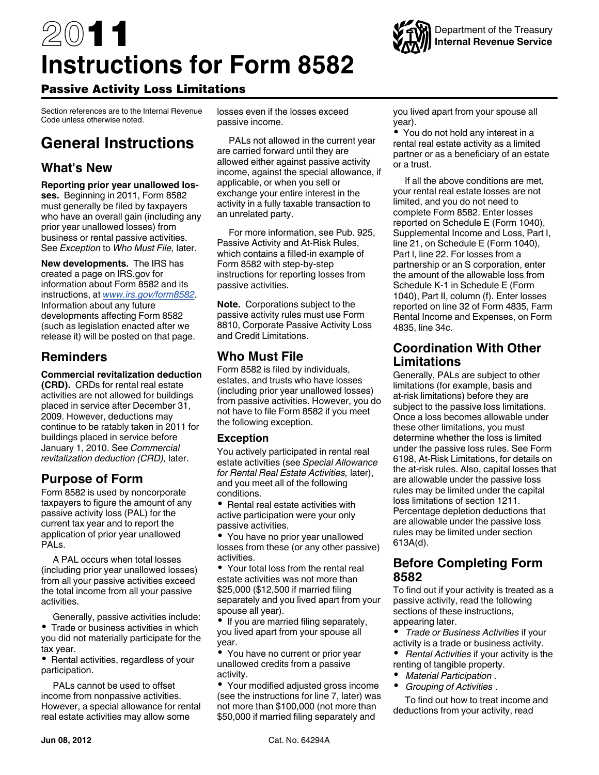# 2011 **Instructions for Form 8582**



# Passive Activity Loss Limitations

Section references are to the Internal Revenue Code unless otherwise noted.

# **General Instructions**

# **What's New**

**Reporting prior year unallowed losses.** Beginning in 2011, Form 8582 must generally be filed by taxpayers who have an overall gain (including any prior year unallowed losses) from business or rental passive activities. See *Exception* to *Who Must File,* later.

**New developments.** The IRS has created a page on IRS.gov for information about Form 8582 and its instructions, at *[www.irs.gov/form8582](http://www.irs.gov/form8582)*. Information about any future developments affecting Form 8582 (such as legislation enacted after we release it) will be posted on that page.

# **Reminders**

**Commercial revitalization deduction (CRD).** CRDs for rental real estate activities are not allowed for buildings placed in service after December 31, 2009. However, deductions may continue to be ratably taken in 2011 for buildings placed in service before January 1, 2010. See *Commercial revitalization deduction (CRD),* later.

# **Purpose of Form**

Form 8582 is used by noncorporate taxpayers to figure the amount of any passive activity loss (PAL) for the current tax year and to report the application of prior year unallowed PALs.

A PAL occurs when total losses (including prior year unallowed losses) from all your passive activities exceed the total income from all your passive activities.

Generally, passive activities include: • Trade or business activities in which you did not materially participate for the tax year.

• Rental activities, regardless of your participation.

PALs cannot be used to offset income from nonpassive activities. However, a special allowance for rental real estate activities may allow some

losses even if the losses exceed passive income.

PALs not allowed in the current year are carried forward until they are allowed either against passive activity income, against the special allowance, if applicable, or when you sell or exchange your entire interest in the activity in a fully taxable transaction to an unrelated party.

For more information, see Pub. 925, Passive Activity and At-Risk Rules, which contains a filled-in example of Form 8582 with step-by-step instructions for reporting losses from passive activities.

**Note.** Corporations subject to the passive activity rules must use Form 8810, Corporate Passive Activity Loss and Credit Limitations.

# **Who Must File**

Form 8582 is filed by individuals, estates, and trusts who have losses (including prior year unallowed losses) from passive activities. However, you do not have to file Form 8582 if you meet the following exception.

### **Exception**

You actively participated in rental real estate activities (see *Special Allowance for Rental Real Estate Activities,* later), and you meet all of the following conditions.

• Rental real estate activities with active participation were your only passive activities.

You have no prior year unallowed losses from these (or any other passive) activities.

Your total loss from the rental real estate activities was not more than \$25,000 (\$12,500 if married filing separately and you lived apart from your spouse all year).

• If you are married filing separately, you lived apart from your spouse all year.

• You have no current or prior year unallowed credits from a passive activity.

Your modified adjusted gross income (see the instructions for line 7, later) was not more than \$100,000 (not more than \$50,000 if married filing separately and

you lived apart from your spouse all year).

You do not hold any interest in a rental real estate activity as a limited partner or as a beneficiary of an estate or a trust.

If all the above conditions are met, your rental real estate losses are not limited, and you do not need to complete Form 8582. Enter losses reported on Schedule E (Form 1040), Supplemental Income and Loss, Part I, line 21, on Schedule E (Form 1040), Part l, line 22. For losses from a partnership or an S corporation, enter the amount of the allowable loss from Schedule K-1 in Schedule E (Form 1040), Part II, column (f). Enter losses reported on line 32 of Form 4835, Farm Rental Income and Expenses, on Form 4835, line 34c.

# **Coordination With Other Limitations**

Generally, PALs are subject to other limitations (for example, basis and at-risk limitations) before they are subject to the passive loss limitations. Once a loss becomes allowable under these other limitations, you must determine whether the loss is limited under the passive loss rules. See Form 6198, At-Risk Limitations, for details on the at-risk rules. Also, capital losses that are allowable under the passive loss rules may be limited under the capital loss limitations of section 1211. Percentage depletion deductions that are allowable under the passive loss rules may be limited under section 613A(d).

# **Before Completing Form 8582**

To find out if your activity is treated as a passive activity, read the following sections of these instructions, appearing later.

- *Trade or Business Activities* if your activity is a trade or business activity.
- Rental Activities if your activity is the renting of tangible property.
- *Material Participation* .
- *Grouping of Activities* .

To find out how to treat income and deductions from your activity, read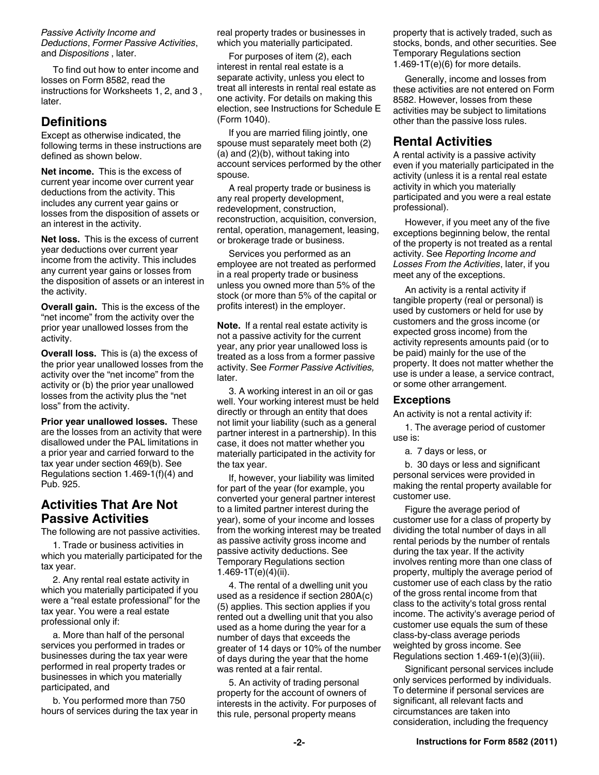*Passive Activity Income and Deductions*, *Former Passive Activities*, and *Dispositions* , later.

To find out how to enter income and losses on Form 8582, read the instructions for Worksheets 1, 2, and 3 , later.

# **Definitions**

Except as otherwise indicated, the following terms in these instructions are defined as shown below.

**Net income.** This is the excess of current year income over current year deductions from the activity. This includes any current year gains or losses from the disposition of assets or an interest in the activity.

**Net loss.** This is the excess of current year deductions over current year income from the activity. This includes any current year gains or losses from the disposition of assets or an interest in the activity.

**Overall gain.** This is the excess of the "net income" from the activity over the prior year unallowed losses from the activity.

**Overall loss.** This is (a) the excess of the prior year unallowed losses from the activity over the "net income" from the activity or (b) the prior year unallowed losses from the activity plus the "net loss" from the activity.

**Prior year unallowed losses.** These are the losses from an activity that were disallowed under the PAL limitations in a prior year and carried forward to the tax year under section 469(b). See Regulations section 1.469-1(f)(4) and Pub. 925.

# **Activities That Are Not Passive Activities**

The following are not passive activities.

1. Trade or business activities in which you materially participated for the tax year.

2. Any rental real estate activity in which you materially participated if you were a "real estate professional" for the tax year. You were a real estate professional only if:

a. More than half of the personal services you performed in trades or businesses during the tax year were performed in real property trades or businesses in which you materially participated, and

b. You performed more than 750 hours of services during the tax year in real property trades or businesses in which you materially participated.

For purposes of item (2), each interest in rental real estate is a separate activity, unless you elect to treat all interests in rental real estate as one activity. For details on making this election, see Instructions for Schedule E (Form 1040).

If you are married filing jointly, one spouse must separately meet both (2) (a) and (2)(b), without taking into account services performed by the other spouse.

A real property trade or business is any real property development, redevelopment, construction, reconstruction, acquisition, conversion, rental, operation, management, leasing, or brokerage trade or business.

Services you performed as an employee are not treated as performed in a real property trade or business unless you owned more than 5% of the stock (or more than 5% of the capital or profits interest) in the employer.

**Note.** If a rental real estate activity is not a passive activity for the current year, any prior year unallowed loss is treated as a loss from a former passive activity. See *Former Passive Activities,*  later.

3. A working interest in an oil or gas well. Your working interest must be held directly or through an entity that does not limit your liability (such as a general partner interest in a partnership). In this case, it does not matter whether you materially participated in the activity for the tax year.

If, however, your liability was limited for part of the year (for example, you converted your general partner interest to a limited partner interest during the year), some of your income and losses from the working interest may be treated as passive activity gross income and passive activity deductions. See Temporary Regulations section 1.469-1T $(e)(4)(ii)$ .

4. The rental of a dwelling unit you used as a residence if section 280A(c) (5) applies. This section applies if you rented out a dwelling unit that you also used as a home during the year for a number of days that exceeds the greater of 14 days or 10% of the number of days during the year that the home was rented at a fair rental.

5. An activity of trading personal property for the account of owners of interests in the activity. For purposes of this rule, personal property means

property that is actively traded, such as stocks, bonds, and other securities. See Temporary Regulations section  $1.469 - 1T(e)(6)$  for more details.

Generally, income and losses from these activities are not entered on Form 8582. However, losses from these activities may be subject to limitations other than the passive loss rules.

# **Rental Activities**

A rental activity is a passive activity even if you materially participated in the activity (unless it is a rental real estate activity in which you materially participated and you were a real estate professional).

However, if you meet any of the five exceptions beginning below, the rental of the property is not treated as a rental activity. See *Reporting Income and Losses From the Activities*, later, if you meet any of the exceptions.

An activity is a rental activity if tangible property (real or personal) is used by customers or held for use by customers and the gross income (or expected gross income) from the activity represents amounts paid (or to be paid) mainly for the use of the property. It does not matter whether the use is under a lease, a service contract, or some other arrangement.

### **Exceptions**

An activity is not a rental activity if:

1. The average period of customer use is:

a. 7 days or less, or

b. 30 days or less and significant personal services were provided in making the rental property available for customer use.

Figure the average period of customer use for a class of property by dividing the total number of days in all rental periods by the number of rentals during the tax year. If the activity involves renting more than one class of property, multiply the average period of customer use of each class by the ratio of the gross rental income from that class to the activity's total gross rental income. The activity's average period of customer use equals the sum of these class-by-class average periods weighted by gross income. See Regulations section 1.469-1(e)(3)(iii).

Significant personal services include only services performed by individuals. To determine if personal services are significant, all relevant facts and circumstances are taken into consideration, including the frequency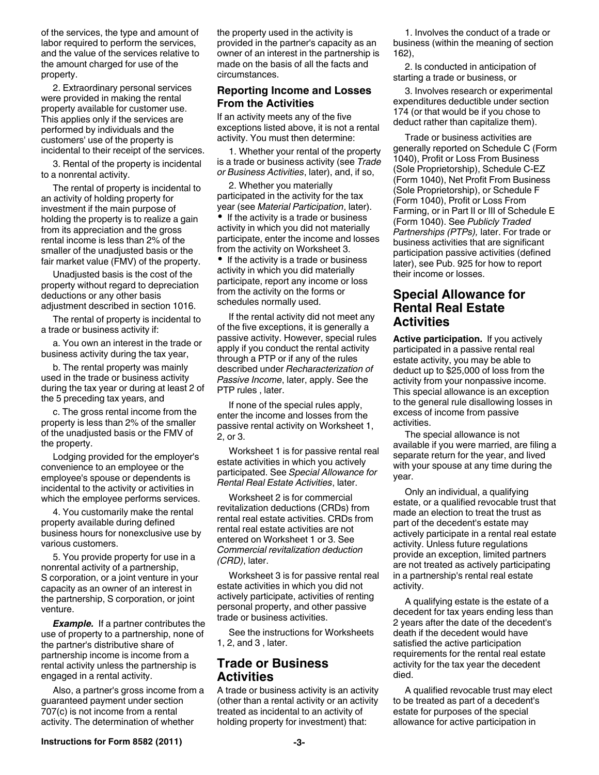of the services, the type and amount of labor required to perform the services, and the value of the services relative to the amount charged for use of the property.

2. Extraordinary personal services were provided in making the rental property available for customer use. This applies only if the services are performed by individuals and the customers' use of the property is incidental to their receipt of the services.

3. Rental of the property is incidental to a nonrental activity.

The rental of property is incidental to an activity of holding property for investment if the main purpose of holding the property is to realize a gain from its appreciation and the gross rental income is less than 2% of the smaller of the unadjusted basis or the fair market value (FMV) of the property.

Unadjusted basis is the cost of the property without regard to depreciation deductions or any other basis adjustment described in section 1016.

The rental of property is incidental to a trade or business activity if:

a. You own an interest in the trade or business activity during the tax year,

b. The rental property was mainly used in the trade or business activity during the tax year or during at least 2 of the 5 preceding tax years, and

c. The gross rental income from the property is less than 2% of the smaller of the unadjusted basis or the FMV of the property.

Lodging provided for the employer's convenience to an employee or the employee's spouse or dependents is incidental to the activity or activities in which the employee performs services.

4. You customarily make the rental property available during defined business hours for nonexclusive use by various customers.

5. You provide property for use in a nonrental activity of a partnership, S corporation, or a joint venture in your capacity as an owner of an interest in the partnership, S corporation, or joint venture.

*Example.* If a partner contributes the use of property to a partnership, none of the partner's distributive share of partnership income is income from a rental activity unless the partnership is engaged in a rental activity.

Also, a partner's gross income from a guaranteed payment under section 707(c) is not income from a rental activity. The determination of whether

the property used in the activity is provided in the partner's capacity as an owner of an interest in the partnership is made on the basis of all the facts and circumstances.

### **Reporting Income and Losses From the Activities**

If an activity meets any of the five exceptions listed above, it is not a rental activity. You must then determine:

1. Whether your rental of the property is a trade or business activity (see *Trade or Business Activities*, later), and, if so,

2. Whether you materially participated in the activity for the tax year (see *Material Participation*, later). • If the activity is a trade or business activity in which you did not materially participate, enter the income and losses from the activity on Worksheet 3. • If the activity is a trade or business activity in which you did materially participate, report any income or loss

from the activity on the forms or schedules normally used.

If the rental activity did not meet any of the five exceptions, it is generally a passive activity. However, special rules apply if you conduct the rental activity through a PTP or if any of the rules described under *Recharacterization of Passive Income*, later, apply. See the PTP rules , later.

If none of the special rules apply, enter the income and losses from the passive rental activity on Worksheet 1, 2, or 3.

Worksheet 1 is for passive rental real estate activities in which you actively participated. See *Special Allowance for Rental Real Estate Activities*, later.

Worksheet 2 is for commercial revitalization deductions (CRDs) from rental real estate activities. CRDs from rental real estate activities are not entered on Worksheet 1 or 3. See *Commercial revitalization deduction (CRD)*, later.

Worksheet 3 is for passive rental real estate activities in which you did not actively participate, activities of renting personal property, and other passive trade or business activities.

See the instructions for Worksheets 1, 2, and 3 , later.

# **Trade or Business Activities**

A trade or business activity is an activity (other than a rental activity or an activity treated as incidental to an activity of holding property for investment) that:

1. Involves the conduct of a trade or business (within the meaning of section 162),

2. Is conducted in anticipation of starting a trade or business, or

3. Involves research or experimental expenditures deductible under section 174 (or that would be if you chose to deduct rather than capitalize them).

Trade or business activities are generally reported on Schedule C (Form 1040), Profit or Loss From Business (Sole Proprietorship), Schedule C-EZ (Form 1040), Net Profit From Business (Sole Proprietorship), or Schedule F (Form 1040), Profit or Loss From Farming, or in Part II or III of Schedule E (Form 1040). See *Publicly Traded Partnerships (PTPs),* later. For trade or business activities that are significant participation passive activities (defined later), see Pub. 925 for how to report their income or losses.

# **Special Allowance for Rental Real Estate Activities**

**Active participation.** If you actively participated in a passive rental real estate activity, you may be able to deduct up to \$25,000 of loss from the activity from your nonpassive income. This special allowance is an exception to the general rule disallowing losses in excess of income from passive activities.

The special allowance is not available if you were married, are filing a separate return for the year, and lived with your spouse at any time during the year.

Only an individual, a qualifying estate, or a qualified revocable trust that made an election to treat the trust as part of the decedent's estate may actively participate in a rental real estate activity. Unless future regulations provide an exception, limited partners are not treated as actively participating in a partnership's rental real estate activity.

A qualifying estate is the estate of a decedent for tax years ending less than 2 years after the date of the decedent's death if the decedent would have satisfied the active participation requirements for the rental real estate activity for the tax year the decedent died.

A qualified revocable trust may elect to be treated as part of a decedent's estate for purposes of the special allowance for active participation in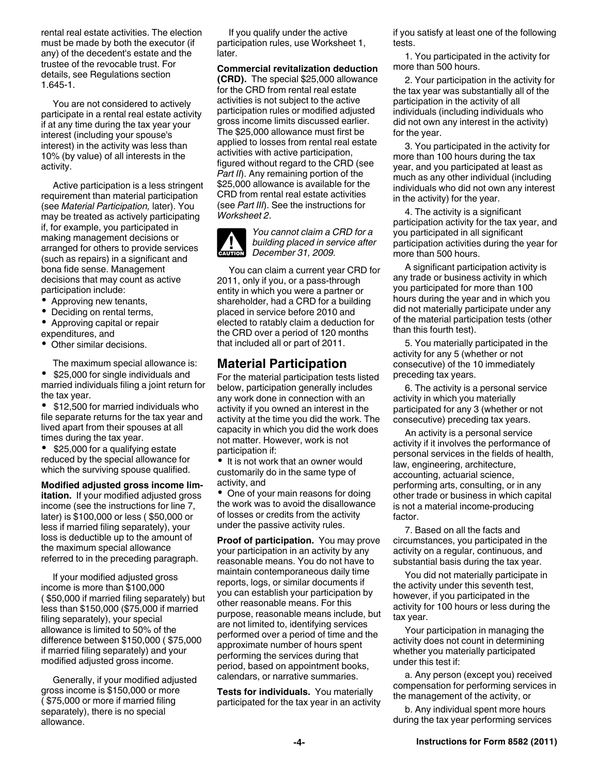rental real estate activities. The election must be made by both the executor (if any) of the decedent's estate and the trustee of the revocable trust. For details, see Regulations section 1.645-1.

You are not considered to actively participate in a rental real estate activity if at any time during the tax year your interest (including your spouse's interest) in the activity was less than 10% (by value) of all interests in the activity.

Active participation is a less stringent requirement than material participation (see *Material Participation,* later). You may be treated as actively participating if, for example, you participated in making management decisions or arranged for others to provide services (such as repairs) in a significant and bona fide sense. Management decisions that may count as active participation include:

- Approving new tenants,
- Deciding on rental terms,
- Approving capital or repair expenditures, and
- Other similar decisions.

The maximum special allowance is:

 $\bullet$  \$25,000 for single individuals and married individuals filing a joint return for the tax year.

• \$12,500 for married individuals who file separate returns for the tax year and lived apart from their spouses at all times during the tax year.

• \$25,000 for a qualifying estate reduced by the special allowance for which the surviving spouse qualified.

**Modified adjusted gross income limitation.** If your modified adjusted gross income (see the instructions for line 7, later) is \$100,000 or less ( \$50,000 or less if married filing separately), your loss is deductible up to the amount of the maximum special allowance referred to in the preceding paragraph.

If your modified adjusted gross income is more than \$100,000 ( \$50,000 if married filing separately) but less than \$150,000 (\$75,000 if married filing separately), your special allowance is limited to 50% of the difference between \$150,000 ( \$75,000 if married filing separately) and your modified adjusted gross income.

Generally, if your modified adjusted gross income is \$150,000 or more ( \$75,000 or more if married filing separately), there is no special allowance.

If you qualify under the active participation rules, use Worksheet 1, later.

**Commercial revitalization deduction (CRD).** The special \$25,000 allowance for the CRD from rental real estate activities is not subject to the active participation rules or modified adjusted gross income limits discussed earlier. The \$25,000 allowance must first be applied to losses from rental real estate activities with active participation, figured without regard to the CRD (see *Part II*). Any remaining portion of the \$25,000 allowance is available for the CRD from rental real estate activities (see *Part III*). See the instructions for *Worksheet 2*.



*You cannot claim a CRD for a building placed in service after*  **building placed in se**<br> **December 31, 2009.** 

You can claim a current year CRD for 2011, only if you, or a pass-through entity in which you were a partner or shareholder, had a CRD for a building placed in service before 2010 and elected to ratably claim a deduction for the CRD over a period of 120 months that included all or part of 2011.

# **Material Participation**

For the material participation tests listed below, participation generally includes any work done in connection with an activity if you owned an interest in the activity at the time you did the work. The capacity in which you did the work does not matter. However, work is not participation if:

• It is not work that an owner would customarily do in the same type of activity, and

• One of your main reasons for doing the work was to avoid the disallowance of losses or credits from the activity under the passive activity rules.

**Proof of participation.** You may prove your participation in an activity by any reasonable means. You do not have to maintain contemporaneous daily time reports, logs, or similar documents if you can establish your participation by other reasonable means. For this purpose, reasonable means include, but are not limited to, identifying services performed over a period of time and the approximate number of hours spent performing the services during that period, based on appointment books, calendars, or narrative summaries.

**Tests for individuals.** You materially participated for the tax year in an activity if you satisfy at least one of the following tests.

1. You participated in the activity for more than 500 hours.

2. Your participation in the activity for the tax year was substantially all of the participation in the activity of all individuals (including individuals who did not own any interest in the activity) for the year.

3. You participated in the activity for more than 100 hours during the tax year, and you participated at least as much as any other individual (including individuals who did not own any interest in the activity) for the year.

4. The activity is a significant participation activity for the tax year, and you participated in all significant participation activities during the year for more than 500 hours.

A significant participation activity is any trade or business activity in which you participated for more than 100 hours during the year and in which you did not materially participate under any of the material participation tests (other than this fourth test).

5. You materially participated in the activity for any 5 (whether or not consecutive) of the 10 immediately preceding tax years.

6. The activity is a personal service activity in which you materially participated for any 3 (whether or not consecutive) preceding tax years.

An activity is a personal service activity if it involves the performance of personal services in the fields of health, law, engineering, architecture, accounting, actuarial science, performing arts, consulting, or in any other trade or business in which capital is not a material income-producing factor.

7. Based on all the facts and circumstances, you participated in the activity on a regular, continuous, and substantial basis during the tax year.

You did not materially participate in the activity under this seventh test, however, if you participated in the activity for 100 hours or less during the tax year.

Your participation in managing the activity does not count in determining whether you materially participated under this test if:

a. Any person (except you) received compensation for performing services in the management of the activity, or

b. Any individual spent more hours during the tax year performing services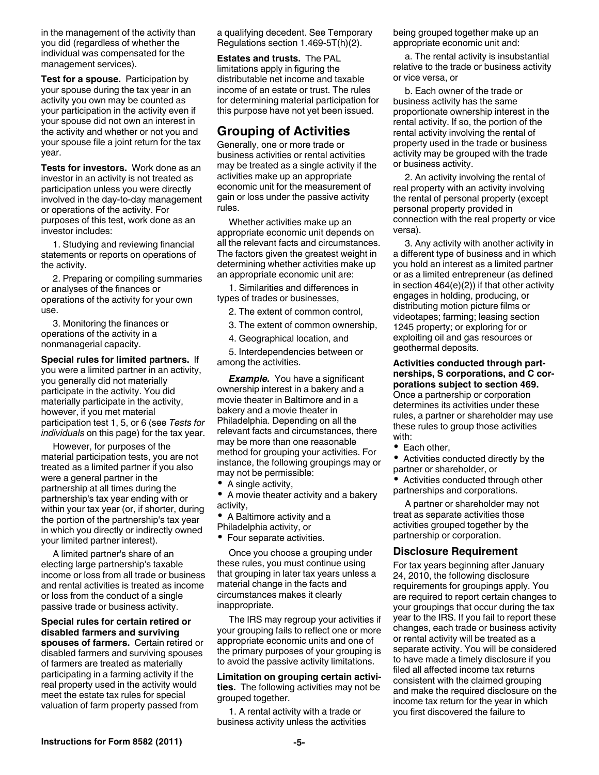in the management of the activity than you did (regardless of whether the individual was compensated for the management services).

**Test for a spouse.** Participation by your spouse during the tax year in an activity you own may be counted as your participation in the activity even if your spouse did not own an interest in the activity and whether or not you and your spouse file a joint return for the tax year.

**Tests for investors.** Work done as an investor in an activity is not treated as participation unless you were directly involved in the day-to-day management or operations of the activity. For purposes of this test, work done as an investor includes:

1. Studying and reviewing financial statements or reports on operations of the activity.

2. Preparing or compiling summaries or analyses of the finances or operations of the activity for your own use.

3. Monitoring the finances or operations of the activity in a nonmanagerial capacity.

**Special rules for limited partners.** If you were a limited partner in an activity, you generally did not materially participate in the activity. You did materially participate in the activity, however, if you met material participation test 1, 5, or 6 (see *Tests for individuals* on this page) for the tax year.

However, for purposes of the material participation tests, you are not treated as a limited partner if you also were a general partner in the partnership at all times during the partnership's tax year ending with or within your tax year (or, if shorter, during the portion of the partnership's tax year in which you directly or indirectly owned your limited partner interest).

A limited partner's share of an electing large partnership's taxable income or loss from all trade or business and rental activities is treated as income or loss from the conduct of a single passive trade or business activity.

**Special rules for certain retired or disabled farmers and surviving spouses of farmers.** Certain retired or disabled farmers and surviving spouses of farmers are treated as materially participating in a farming activity if the real property used in the activity would meet the estate tax rules for special valuation of farm property passed from

a qualifying decedent. See Temporary Regulations section 1.469-5T(h)(2).

**Estates and trusts.** The PAL limitations apply in figuring the distributable net income and taxable income of an estate or trust. The rules for determining material participation for this purpose have not yet been issued.

# **Grouping of Activities**

Generally, one or more trade or business activities or rental activities may be treated as a single activity if the activities make up an appropriate economic unit for the measurement of gain or loss under the passive activity rules.

Whether activities make up an appropriate economic unit depends on all the relevant facts and circumstances. The factors given the greatest weight in determining whether activities make up an appropriate economic unit are:

1. Similarities and differences in types of trades or businesses,

2. The extent of common control,

- 3. The extent of common ownership,
- 4. Geographical location, and

5. Interdependencies between or among the activities.

*Example.* You have a significant ownership interest in a bakery and a movie theater in Baltimore and in a bakery and a movie theater in Philadelphia. Depending on all the relevant facts and circumstances, there may be more than one reasonable method for grouping your activities. For instance, the following groupings may or may not be permissible:

- A single activity,
- A movie theater activity and a bakery activity,
- A Baltimore activity and a
- Philadelphia activity, or
- Four separate activities.

Once you choose a grouping under these rules, you must continue using that grouping in later tax years unless a material change in the facts and circumstances makes it clearly inappropriate.

The IRS may regroup your activities if your grouping fails to reflect one or more appropriate economic units and one of the primary purposes of your grouping is to avoid the passive activity limitations.

**Limitation on grouping certain activities.** The following activities may not be grouped together.

1. A rental activity with a trade or business activity unless the activities being grouped together make up an appropriate economic unit and:

a. The rental activity is insubstantial relative to the trade or business activity or vice versa, or

b. Each owner of the trade or business activity has the same proportionate ownership interest in the rental activity. If so, the portion of the rental activity involving the rental of property used in the trade or business activity may be grouped with the trade or business activity.

2. An activity involving the rental of real property with an activity involving the rental of personal property (except personal property provided in connection with the real property or vice versa).

3. Any activity with another activity in a different type of business and in which you hold an interest as a limited partner or as a limited entrepreneur (as defined in section 464(e)(2)) if that other activity engages in holding, producing, or distributing motion picture films or videotapes; farming; leasing section 1245 property; or exploring for or exploiting oil and gas resources or geothermal deposits.

**Activities conducted through partnerships, S corporations, and C corporations subject to section 469.**  Once a partnership or corporation

determines its activities under these rules, a partner or shareholder may use these rules to group those activities with:

• Each other,

Activities conducted directly by the partner or shareholder, or

Activities conducted through other partnerships and corporations.

A partner or shareholder may not treat as separate activities those activities grouped together by the partnership or corporation.

### **Disclosure Requirement**

For tax years beginning after January 24, 2010, the following disclosure requirements for groupings apply. You are required to report certain changes to your groupings that occur during the tax year to the IRS. If you fail to report these changes, each trade or business activity or rental activity will be treated as a separate activity. You will be considered to have made a timely disclosure if you filed all affected income tax returns consistent with the claimed grouping and make the required disclosure on the income tax return for the year in which you first discovered the failure to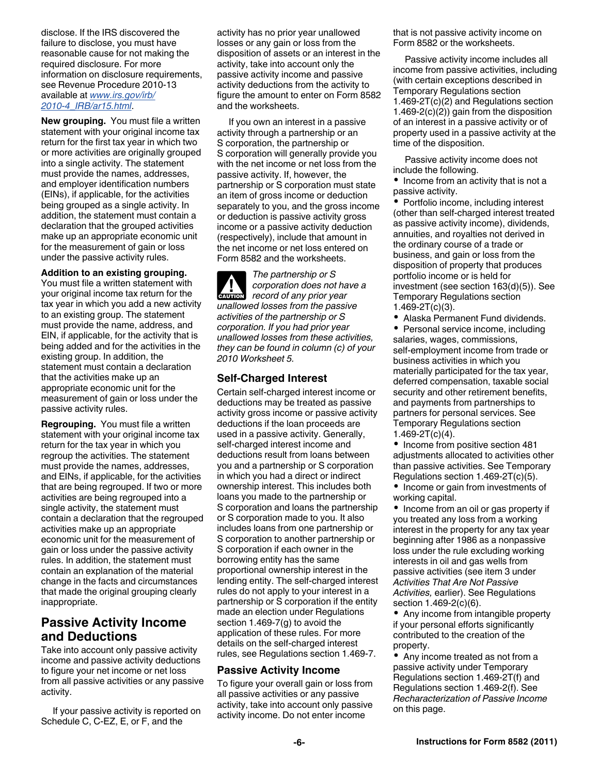disclose. If the IRS discovered the failure to disclose, you must have reasonable cause for not making the required disclosure. For more information on disclosure requirements, see Revenue Procedure 2010-13 available at *[www.irs.gov/irb/](http://www.irs.gov/irb/2010-04_IRB/ar15.html) [2010-4\\_IRB/ar15.html](http://www.irs.gov/irb/2010-04_IRB/ar15.html)*.

**New grouping.** You must file a written statement with your original income tax return for the first tax year in which two or more activities are originally grouped into a single activity. The statement must provide the names, addresses, and employer identification numbers (EINs), if applicable, for the activities being grouped as a single activity. In addition, the statement must contain a declaration that the grouped activities make up an appropriate economic unit for the measurement of gain or loss under the passive activity rules.

#### **Addition to an existing grouping.**

You must file a written statement with your original income tax return for the tax year in which you add a new activity to an existing group. The statement must provide the name, address, and EIN, if applicable, for the activity that is being added and for the activities in the existing group. In addition, the statement must contain a declaration that the activities make up an appropriate economic unit for the measurement of gain or loss under the passive activity rules.

**Regrouping.** You must file a written statement with your original income tax return for the tax year in which you regroup the activities. The statement must provide the names, addresses, and EINs, if applicable, for the activities that are being regrouped. If two or more activities are being regrouped into a single activity, the statement must contain a declaration that the regrouped activities make up an appropriate economic unit for the measurement of gain or loss under the passive activity rules. In addition, the statement must contain an explanation of the material change in the facts and circumstances that made the original grouping clearly inappropriate.

# **Passive Activity Income and Deductions**

Take into account only passive activity income and passive activity deductions to figure your net income or net loss from all passive activities or any passive activity.

If your passive activity is reported on Schedule C, C-EZ, E, or F, and the

activity has no prior year unallowed losses or any gain or loss from the disposition of assets or an interest in the activity, take into account only the passive activity income and passive activity deductions from the activity to figure the amount to enter on Form 8582 and the worksheets.

If you own an interest in a passive activity through a partnership or an S corporation, the partnership or S corporation will generally provide you with the net income or net loss from the passive activity. If, however, the partnership or S corporation must state an item of gross income or deduction separately to you, and the gross income or deduction is passive activity gross income or a passive activity deduction (respectively), include that amount in the net income or net loss entered on Form 8582 and the worksheets.

*The partnership or S corporation does not have a record of any prior year unallowed losses from the passive activities of the partnership or S corporation. If you had prior year unallowed losses from these activities, they can be found in column (c) of your 2010 Worksheet 5.* **CAUTION !**

### **Self-Charged Interest**

Certain self-charged interest income or deductions may be treated as passive activity gross income or passive activity deductions if the loan proceeds are used in a passive activity. Generally, self-charged interest income and deductions result from loans between you and a partnership or S corporation in which you had a direct or indirect ownership interest. This includes both loans you made to the partnership or S corporation and loans the partnership or S corporation made to you. It also includes loans from one partnership or S corporation to another partnership or S corporation if each owner in the borrowing entity has the same proportional ownership interest in the lending entity. The self-charged interest rules do not apply to your interest in a partnership or S corporation if the entity made an election under Regulations section 1.469-7(g) to avoid the application of these rules. For more details on the self-charged interest rules, see Regulations section 1.469-7.

### **Passive Activity Income**

To figure your overall gain or loss from all passive activities or any passive activity, take into account only passive activity income. Do not enter income

that is not passive activity income on Form 8582 or the worksheets.

Passive activity income includes all income from passive activities, including (with certain exceptions described in Temporary Regulations section 1.469-2T(c)(2) and Regulations section 1.469-2(c)(2)) gain from the disposition of an interest in a passive activity or of property used in a passive activity at the time of the disposition.

Passive activity income does not include the following.

• Income from an activity that is not a passive activity.

• Portfolio income, including interest (other than self-charged interest treated as passive activity income), dividends, annuities, and royalties not derived in the ordinary course of a trade or business, and gain or loss from the disposition of property that produces portfolio income or is held for investment (see section 163(d)(5)). See Temporary Regulations section 1.469-2T(c)(3).

Alaska Permanent Fund dividends.

• Personal service income, including salaries, wages, commissions, self-employment income from trade or business activities in which you materially participated for the tax year, deferred compensation, taxable social security and other retirement benefits, and payments from partnerships to partners for personal services. See Temporary Regulations section  $1.469 - 2T(c)(4)$ .

• Income from positive section 481 adjustments allocated to activities other than passive activities. See Temporary Regulations section 1.469-2T(c)(5).

• Income or gain from investments of working capital.

• Income from an oil or gas property if you treated any loss from a working interest in the property for any tax year beginning after 1986 as a nonpassive loss under the rule excluding working interests in oil and gas wells from passive activities (see item 3 under *Activities That Are Not Passive Activities,* earlier). See Regulations section 1.469-2(c)(6).

• Any income from intangible property if your personal efforts significantly contributed to the creation of the property.

Any income treated as not from a passive activity under Temporary Regulations section 1.469-2T(f) and Regulations section 1.469-2(f). See *Recharacterization of Passive Income*  on this page.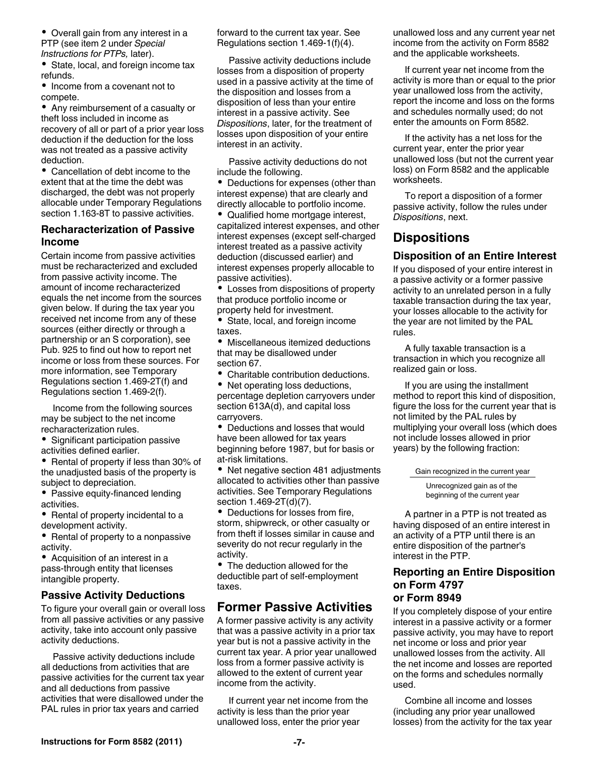• Overall gain from any interest in a PTP (see item 2 under *Special Instructions for PTPs,* later).

• State, local, and foreign income tax refunds.

• Income from a covenant not to compete.

Any reimbursement of a casualty or theft loss included in income as recovery of all or part of a prior year loss deduction if the deduction for the loss was not treated as a passive activity deduction.

Cancellation of debt income to the extent that at the time the debt was discharged, the debt was not properly allocable under Temporary Regulations section 1.163-8T to passive activities.

### **Recharacterization of Passive Income**

Certain income from passive activities must be recharacterized and excluded from passive activity income. The amount of income recharacterized equals the net income from the sources given below. If during the tax year you received net income from any of these sources (either directly or through a partnership or an S corporation), see Pub. 925 to find out how to report net income or loss from these sources. For more information, see Temporary Regulations section 1.469-2T(f) and Regulations section 1.469-2(f).

Income from the following sources may be subject to the net income recharacterization rules.

• Significant participation passive activities defined earlier.

• Rental of property if less than 30% of the unadjusted basis of the property is subject to depreciation.

- Passive equity-financed lending activities.
- Rental of property incidental to a development activity.

• Rental of property to a nonpassive activity.

Acquisition of an interest in a pass-through entity that licenses intangible property.

### **Passive Activity Deductions**

To figure your overall gain or overall loss from all passive activities or any passive activity, take into account only passive activity deductions.

Passive activity deductions include all deductions from activities that are passive activities for the current tax year and all deductions from passive activities that were disallowed under the PAL rules in prior tax years and carried

forward to the current tax year. See Regulations section 1.469-1(f)(4).

Passive activity deductions include losses from a disposition of property used in a passive activity at the time of the disposition and losses from a disposition of less than your entire interest in a passive activity. See *Dispositions*, later, for the treatment of losses upon disposition of your entire interest in an activity.

Passive activity deductions do not include the following.

• Deductions for expenses (other than interest expense) that are clearly and directly allocable to portfolio income.

Qualified home mortgage interest, capitalized interest expenses, and other interest expenses (except self-charged interest treated as a passive activity deduction (discussed earlier) and interest expenses properly allocable to passive activities).

Losses from dispositions of property that produce portfolio income or property held for investment.

• State, local, and foreign income taxes.

Miscellaneous itemized deductions that may be disallowed under section 67.

Charitable contribution deductions.

• Net operating loss deductions, percentage depletion carryovers under section 613A(d), and capital loss carryovers.

Deductions and losses that would have been allowed for tax years beginning before 1987, but for basis or at-risk limitations.

• Net negative section 481 adjustments allocated to activities other than passive activities. See Temporary Regulations section 1.469-2T(d)(7).

Deductions for losses from fire, storm, shipwreck, or other casualty or from theft if losses similar in cause and severity do not recur regularly in the activity.

• The deduction allowed for the deductible part of self-employment taxes.

# **Former Passive Activities**

A former passive activity is any activity that was a passive activity in a prior tax year but is not a passive activity in the current tax year. A prior year unallowed loss from a former passive activity is allowed to the extent of current year income from the activity.

If current year net income from the activity is less than the prior year unallowed loss, enter the prior year

unallowed loss and any current year net income from the activity on Form 8582 and the applicable worksheets.

If current year net income from the activity is more than or equal to the prior year unallowed loss from the activity, report the income and loss on the forms and schedules normally used; do not enter the amounts on Form 8582.

If the activity has a net loss for the current year, enter the prior year unallowed loss (but not the current year loss) on Form 8582 and the applicable worksheets.

To report a disposition of a former passive activity, follow the rules under *Dispositions*, next.

# **Dispositions**

### **Disposition of an Entire Interest**

If you disposed of your entire interest in a passive activity or a former passive activity to an unrelated person in a fully taxable transaction during the tax year, your losses allocable to the activity for the year are not limited by the PAL rules.

A fully taxable transaction is a transaction in which you recognize all realized gain or loss.

If you are using the installment method to report this kind of disposition, figure the loss for the current year that is not limited by the PAL rules by multiplying your overall loss (which does not include losses allowed in prior years) by the following fraction:

Gain recognized in the current year

Unrecognized gain as of the beginning of the current year

A partner in a PTP is not treated as having disposed of an entire interest in an activity of a PTP until there is an entire disposition of the partner's interest in the PTP.

### **Reporting an Entire Disposition on Form 4797 or Form 8949**

If you completely dispose of your entire interest in a passive activity or a former passive activity, you may have to report net income or loss and prior year unallowed losses from the activity. All the net income and losses are reported on the forms and schedules normally used.

Combine all income and losses (including any prior year unallowed losses) from the activity for the tax year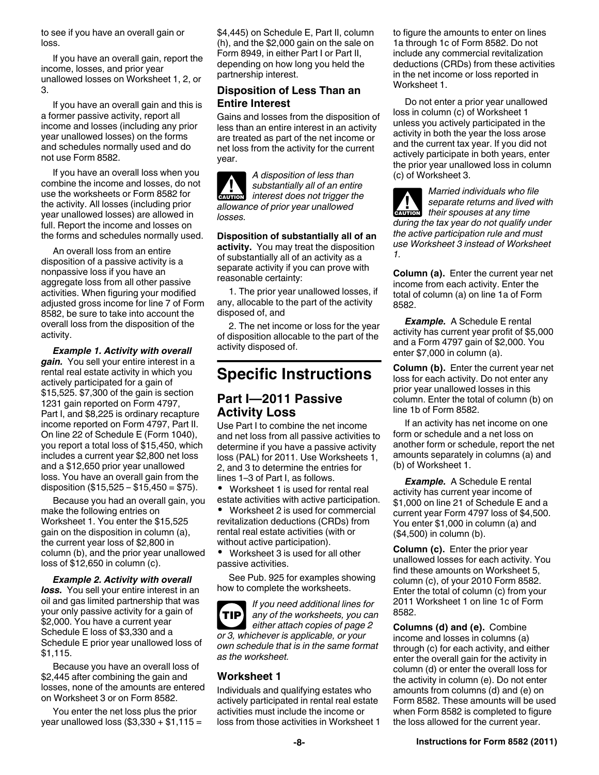to see if you have an overall gain or loss.

If you have an overall gain, report the income, losses, and prior year unallowed losses on Worksheet 1, 2, or 3.

If you have an overall gain and this is a former passive activity, report all income and losses (including any prior year unallowed losses) on the forms and schedules normally used and do not use Form 8582.

If you have an overall loss when you combine the income and losses, do not use the worksheets or Form 8582 for the activity. All losses (including prior year unallowed losses) are allowed in full. Report the income and losses on the forms and schedules normally used.

An overall loss from an entire disposition of a passive activity is a nonpassive loss if you have an aggregate loss from all other passive activities. When figuring your modified adjusted gross income for line 7 of Form 8582, be sure to take into account the overall loss from the disposition of the activity.

*Example 1. Activity with overall gain.* You sell your entire interest in a rental real estate activity in which you actively participated for a gain of \$15,525. \$7,300 of the gain is section 1231 gain reported on Form 4797, Part I, and \$8,225 is ordinary recapture income reported on Form 4797, Part II. On line 22 of Schedule E (Form 1040), you report a total loss of \$15,450, which includes a current year \$2,800 net loss and a \$12,650 prior year unallowed loss. You have an overall gain from the disposition  $(\$15,525 - \$15,450 = \$75)$ .

Because you had an overall gain, you make the following entries on Worksheet 1. You enter the \$15,525 gain on the disposition in column (a), the current year loss of \$2,800 in column (b), and the prior year unallowed loss of \$12,650 in column (c).

*Example 2. Activity with overall loss.* You sell your entire interest in an oil and gas limited partnership that was your only passive activity for a gain of \$2,000. You have a current year Schedule E loss of \$3,330 and a Schedule E prior year unallowed loss of \$1,115.

Because you have an overall loss of \$2,445 after combining the gain and losses, none of the amounts are entered on Worksheet 3 or on Form 8582.

You enter the net loss plus the prior year unallowed loss  $(\$3,330 + \$1,115 =$  \$4,445) on Schedule E, Part II, column (h), and the \$2,000 gain on the sale on Form 8949, in either Part I or Part II, depending on how long you held the partnership interest.

### **Disposition of Less Than an Entire Interest**

Gains and losses from the disposition of less than an entire interest in an activity are treated as part of the net income or net loss from the activity for the current year.

*A disposition of less than substantially all of an entire interest does not trigger the allowance of prior year unallowed losses.* **ALUTION** 

**Disposition of substantially all of an activity.** You may treat the disposition of substantially all of an activity as a separate activity if you can prove with reasonable certainty:

1. The prior year unallowed losses, if any, allocable to the part of the activity disposed of, and

2. The net income or loss for the year of disposition allocable to the part of the activity disposed of.

# **Specific Instructions**

# **Part I—2011 Passive Activity Loss**

Use Part I to combine the net income and net loss from all passive activities to determine if you have a passive activity loss (PAL) for 2011. Use Worksheets 1, 2, and 3 to determine the entries for lines 1–3 of Part I, as follows.

 Worksheet 1 is used for rental real estate activities with active participation.

 Worksheet 2 is used for commercial revitalization deductions (CRDs) from rental real estate activities (with or without active participation).

 Worksheet 3 is used for all other passive activities.

See Pub. 925 for examples showing how to complete the worksheets.

*If you need additional lines for any of the worksheets, you can either attach copies of page 2 or 3, whichever is applicable, or your own schedule that is in the same format as the worksheet.* **TIP**

### **Worksheet 1**

Individuals and qualifying estates who actively participated in rental real estate activities must include the income or loss from those activities in Worksheet 1 to figure the amounts to enter on lines 1a through 1c of Form 8582. Do not include any commercial revitalization deductions (CRDs) from these activities in the net income or loss reported in Worksheet 1.

Do not enter a prior year unallowed loss in column (c) of Worksheet 1 unless you actively participated in the activity in both the year the loss arose and the current tax year. If you did not actively participate in both years, enter the prior year unallowed loss in column (c) of Worksheet 3.

*Married individuals who file separate returns and lived with their spouses at any time during the tax year do not qualify under the active participation rule and must use Worksheet 3 instead of Worksheet 1.* **ALUTION** 

**Column (a).** Enter the current year net income from each activity. Enter the total of column (a) on line 1a of Form 8582.

*Example.* A Schedule E rental activity has current year profit of \$5,000 and a Form 4797 gain of \$2,000. You enter \$7,000 in column (a).

**Column (b).** Enter the current year net loss for each activity. Do not enter any prior year unallowed losses in this column. Enter the total of column (b) on line 1b of Form 8582.

If an activity has net income on one form or schedule and a net loss on another form or schedule, report the net amounts separately in columns (a) and (b) of Worksheet 1.

*Example.* A Schedule E rental activity has current year income of \$1,000 on line 21 of Schedule E and a current year Form 4797 loss of \$4,500. You enter \$1,000 in column (a) and (\$4,500) in column (b).

**Column (c).** Enter the prior year unallowed losses for each activity. You find these amounts on Worksheet 5, column (c), of your 2010 Form 8582. Enter the total of column (c) from your 2011 Worksheet 1 on line 1c of Form 8582.

**Columns (d) and (e).** Combine income and losses in columns (a) through (c) for each activity, and either enter the overall gain for the activity in column (d) or enter the overall loss for the activity in column (e). Do not enter amounts from columns (d) and (e) on Form 8582. These amounts will be used when Form 8582 is completed to figure the loss allowed for the current year.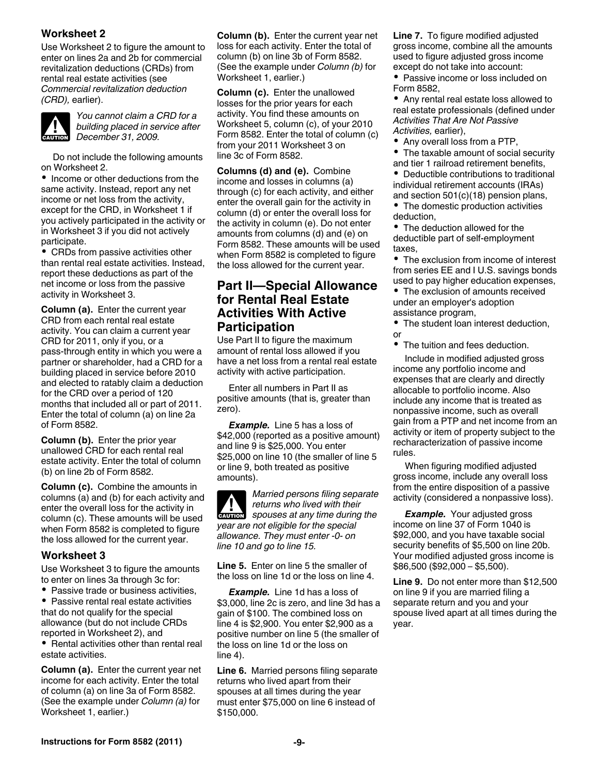### **Worksheet 2**

Use Worksheet 2 to figure the amount to enter on lines 2a and 2b for commercial revitalization deductions (CRDs) from rental real estate activities (see *Commercial revitalization deduction (CRD),* earlier).



*You cannot claim a CRD for a building placed in service after*  **building placed in se**<br> **December 31, 2009.** 

Do not include the following amounts on Worksheet 2.

• Income or other deductions from the same activity. Instead, report any net income or net loss from the activity, except for the CRD, in Worksheet 1 if you actively participated in the activity or in Worksheet 3 if you did not actively participate.

CRDs from passive activities other than rental real estate activities. Instead, report these deductions as part of the net income or loss from the passive activity in Worksheet 3.

**Column (a).** Enter the current year CRD from each rental real estate activity. You can claim a current year CRD for 2011, only if you, or a pass-through entity in which you were a partner or shareholder, had a CRD for a building placed in service before 2010 and elected to ratably claim a deduction for the CRD over a period of 120 months that included all or part of 2011. Enter the total of column (a) on line 2a of Form 8582.

**Column (b).** Enter the prior year unallowed CRD for each rental real estate activity. Enter the total of column (b) on line 2b of Form 8582.

**Column (c).** Combine the amounts in columns (a) and (b) for each activity and enter the overall loss for the activity in column (c). These amounts will be used when Form 8582 is completed to figure the loss allowed for the current year.

### **Worksheet 3**

Use Worksheet 3 to figure the amounts to enter on lines 3a through 3c for:

- Passive trade or business activities,
- Passive rental real estate activities that do not qualify for the special allowance (but do not include CRDs reported in Worksheet 2), and

• Rental activities other than rental real estate activities.

**Column (a).** Enter the current year net income for each activity. Enter the total of column (a) on line 3a of Form 8582. (See the example under *Column (a)* for Worksheet 1, earlier.)

**Column (b).** Enter the current year net loss for each activity. Enter the total of column (b) on line 3b of Form 8582. (See the example under *Column (b)* for Worksheet 1, earlier.)

**Column (c).** Enter the unallowed losses for the prior years for each activity. You find these amounts on Worksheet 5, column (c), of your 2010 Form 8582. Enter the total of column (c) from your 2011 Worksheet 3 on line 3c of Form 8582.

**Columns (d) and (e).** Combine income and losses in columns (a) through (c) for each activity, and either enter the overall gain for the activity in column (d) or enter the overall loss for the activity in column (e). Do not enter amounts from columns (d) and (e) on Form 8582. These amounts will be used when Form 8582 is completed to figure the loss allowed for the current year.

# **Part II—Special Allowance for Rental Real Estate Activities With Active Participation**

Use Part II to figure the maximum amount of rental loss allowed if you have a net loss from a rental real estate activity with active participation.

Enter all numbers in Part II as positive amounts (that is, greater than zero).

*Example.* Line 5 has a loss of \$42,000 (reported as a positive amount) and line 9 is \$25,000. You enter \$25,000 on line 10 (the smaller of line 5 or line 9, both treated as positive amounts).

*Married persons filing separate returns who lived with their*  **z** *spouses at any time during the spouses at any time during the year are not eligible for the special allowance. They must enter -0- on line 10 and go to line 15.*

**Line 5.** Enter on line 5 the smaller of the loss on line 1d or the loss on line 4.

*Example.* Line 1d has a loss of \$3,000, line 2c is zero, and line 3d has a gain of \$100. The combined loss on line 4 is \$2,900. You enter \$2,900 as a positive number on line 5 (the smaller of the loss on line 1d or the loss on line 4).

**Line 6.** Married persons filing separate returns who lived apart from their spouses at all times during the year must enter \$75,000 on line 6 instead of \$150,000.

**Line 7.** To figure modified adjusted gross income, combine all the amounts used to figure adjusted gross income except do not take into account:

Passive income or loss included on Form 8582,

Any rental real estate loss allowed to real estate professionals (defined under *Activities That Are Not Passive Activities,* earlier),

• Any overall loss from a PTP,

• The taxable amount of social security and tier 1 railroad retirement benefits,

Deductible contributions to traditional individual retirement accounts (IRAs)

and section 501(c)(18) pension plans, • The domestic production activities deduction,

• The deduction allowed for the deductible part of self-employment taxes,

The exclusion from income of interest from series EE and I U.S. savings bonds used to pay higher education expenses,

• The exclusion of amounts received under an employer's adoption assistance program,

The student loan interest deduction, or

The tuition and fees deduction.

Include in modified adjusted gross income any portfolio income and expenses that are clearly and directly allocable to portfolio income. Also include any income that is treated as nonpassive income, such as overall gain from a PTP and net income from an activity or item of property subject to the recharacterization of passive income rules.

When figuring modified adjusted gross income, include any overall loss from the entire disposition of a passive activity (considered a nonpassive loss).

*Example.* Your adjusted gross income on line 37 of Form 1040 is \$92,000, and you have taxable social security benefits of \$5,500 on line 20b. Your modified adjusted gross income is \$86,500 (\$92,000 – \$5,500).

**Line 9.** Do not enter more than \$12,500 on line 9 if you are married filing a separate return and you and your spouse lived apart at all times during the year.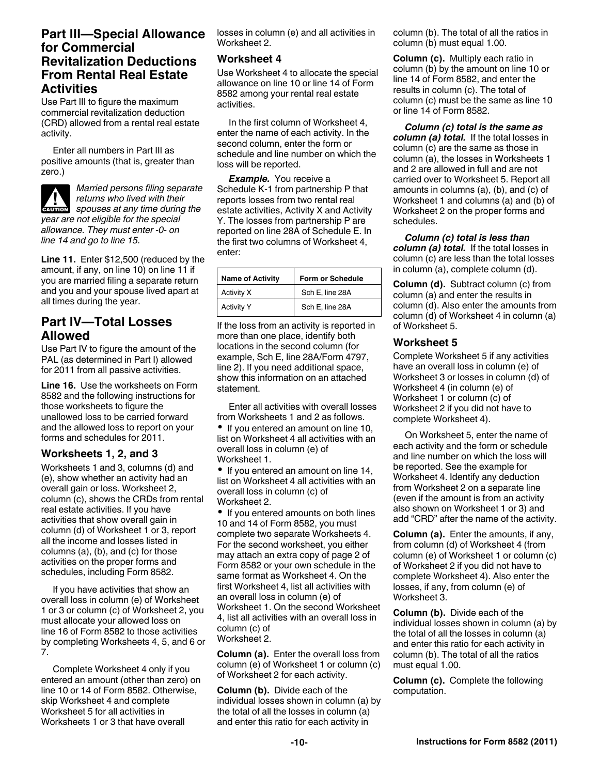## **Part III—Special Allowance for Commercial Revitalization Deductions From Rental Real Estate Activities**

Use Part III to figure the maximum commercial revitalization deduction (CRD) allowed from a rental real estate activity.

Enter all numbers in Part III as positive amounts (that is, greater than zero.)

*Married persons filing separate returns who lived with their*  **z** *spouses at any time during the spouses at any time during the year are not eligible for the special allowance. They must enter -0- on line 14 and go to line 15.*

**Line 11.** Enter \$12,500 (reduced by the amount, if any, on line 10) on line 11 if you are married filing a separate return and you and your spouse lived apart at all times during the year.

# **Part IV—Total Losses Allowed**

Use Part IV to figure the amount of the PAL (as determined in Part I) allowed for 2011 from all passive activities.

**Line 16.** Use the worksheets on Form 8582 and the following instructions for those worksheets to figure the unallowed loss to be carried forward and the allowed loss to report on your forms and schedules for 2011.

### **Worksheets 1, 2, and 3**

Worksheets 1 and 3, columns (d) and (e), show whether an activity had an overall gain or loss. Worksheet 2, column (c), shows the CRDs from rental real estate activities. If you have activities that show overall gain in column (d) of Worksheet 1 or 3, report all the income and losses listed in columns (a), (b), and (c) for those activities on the proper forms and schedules, including Form 8582.

If you have activities that show an overall loss in column (e) of Worksheet 1 or 3 or column (c) of Worksheet 2, you must allocate your allowed loss on line 16 of Form 8582 to those activities by completing Worksheets 4, 5, and 6 or 7.

Complete Worksheet 4 only if you entered an amount (other than zero) on line 10 or 14 of Form 8582. Otherwise, skip Worksheet 4 and complete Worksheet 5 for all activities in Worksheets 1 or 3 that have overall

losses in column (e) and all activities in Worksheet 2.

### **Worksheet 4**

Use Worksheet 4 to allocate the special allowance on line 10 or line 14 of Form 8582 among your rental real estate activities.

In the first column of Worksheet 4, enter the name of each activity. In the second column, enter the form or schedule and line number on which the loss will be reported.

*Example.* You receive a Schedule K-1 from partnership P that reports losses from two rental real estate activities, Activity X and Activity Y. The losses from partnership P are reported on line 28A of Schedule E. In the first two columns of Worksheet 4, enter:

| <b>Name of Activity</b> | Form or Schedule |
|-------------------------|------------------|
| Activity X              | Sch E, line 28A  |
| <b>Activity Y</b>       | Sch E, line 28A  |

If the loss from an activity is reported in more than one place, identify both locations in the second column (for example, Sch E, line 28A/Form 4797, line 2). If you need additional space, show this information on an attached statement.

Enter all activities with overall losses from Worksheets 1 and 2 as follows. • If you entered an amount on line 10, list on Worksheet 4 all activities with an overall loss in column (e) of Worksheet 1.

• If you entered an amount on line 14, list on Worksheet 4 all activities with an overall loss in column (c) of Worksheet 2.

• If you entered amounts on both lines 10 and 14 of Form 8582, you must complete two separate Worksheets 4. For the second worksheet, you either may attach an extra copy of page 2 of Form 8582 or your own schedule in the same format as Worksheet 4. On the first Worksheet 4, list all activities with an overall loss in column (e) of Worksheet 1. On the second Worksheet 4, list all activities with an overall loss in column (c) of Worksheet 2.

**Column (a).** Enter the overall loss from column (e) of Worksheet 1 or column (c) of Worksheet 2 for each activity.

**Column (b).** Divide each of the individual losses shown in column (a) by the total of all the losses in column (a) and enter this ratio for each activity in

column (b). The total of all the ratios in column (b) must equal 1.00.

**Column (c).** Multiply each ratio in column (b) by the amount on line 10 or line 14 of Form 8582, and enter the results in column (c). The total of column (c) must be the same as line 10 or line 14 of Form 8582.

*Column (c) total is the same as column (a) total.* If the total losses in column (c) are the same as those in column (a), the losses in Worksheets 1 and 2 are allowed in full and are not carried over to Worksheet 5. Report all amounts in columns (a), (b), and (c) of Worksheet 1 and columns (a) and (b) of Worksheet 2 on the proper forms and schedules.

*Column (c) total is less than column (a) total.* If the total losses in column (c) are less than the total losses in column (a), complete column (d).

**Column (d).** Subtract column (c) from column (a) and enter the results in column (d). Also enter the amounts from column (d) of Worksheet 4 in column (a) of Worksheet 5.

### **Worksheet 5**

Complete Worksheet 5 if any activities have an overall loss in column (e) of Worksheet 3 or losses in column (d) of Worksheet 4 (in column (e) of Worksheet 1 or column (c) of Worksheet 2 if you did not have to complete Worksheet 4).

On Worksheet 5, enter the name of each activity and the form or schedule and line number on which the loss will be reported. See the example for Worksheet 4. Identify any deduction from Worksheet 2 on a separate line (even if the amount is from an activity also shown on Worksheet 1 or 3) and add "CRD" after the name of the activity.

**Column (a).** Enter the amounts, if any, from column (d) of Worksheet 4 (from column (e) of Worksheet 1 or column (c) of Worksheet 2 if you did not have to complete Worksheet 4). Also enter the losses, if any, from column (e) of Worksheet 3.

**Column (b).** Divide each of the individual losses shown in column (a) by the total of all the losses in column (a) and enter this ratio for each activity in column (b). The total of all the ratios must equal 1.00.

**Column (c).** Complete the following computation.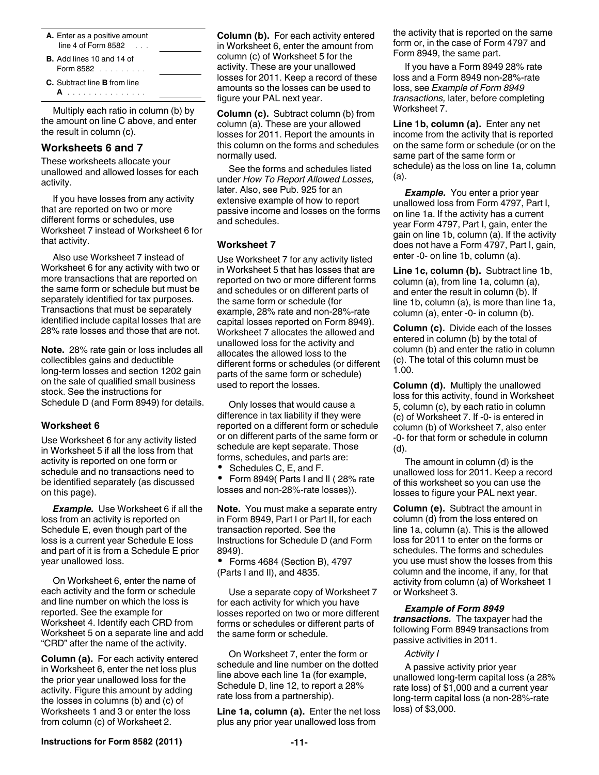- **A.** Enter as a positive amount line 4 of Form 8582
- **B.** Add lines 10 and 14 of Form 8582 . . . . . . . . .
- **C.** Subtract line **B** from line
	- **A** ...............

Multiply each ratio in column (b) by the amount on line C above, and enter the result in column (c).

### **Worksheets 6 and 7**

These worksheets allocate your unallowed and allowed losses for each activity.

If you have losses from any activity that are reported on two or more different forms or schedules, use Worksheet 7 instead of Worksheet 6 for that activity.

Also use Worksheet 7 instead of Worksheet 6 for any activity with two or more transactions that are reported on the same form or schedule but must be separately identified for tax purposes. Transactions that must be separately identified include capital losses that are 28% rate losses and those that are not.

**Note.** 28% rate gain or loss includes all collectibles gains and deductible long-term losses and section 1202 gain on the sale of qualified small business stock. See the instructions for Schedule D (and Form 8949) for details.

### **Worksheet 6**

Use Worksheet 6 for any activity listed in Worksheet 5 if all the loss from that activity is reported on one form or schedule and no transactions need to be identified separately (as discussed on this page).

**Example.** Use Worksheet 6 if all the loss from an activity is reported on Schedule E, even though part of the loss is a current year Schedule E loss and part of it is from a Schedule E prior year unallowed loss.

On Worksheet 6, enter the name of each activity and the form or schedule and line number on which the loss is reported. See the example for Worksheet 4. Identify each CRD from Worksheet 5 on a separate line and add "CRD" after the name of the activity.

**Column (a).** For each activity entered in Worksheet 6, enter the net loss plus the prior year unallowed loss for the activity. Figure this amount by adding the losses in columns (b) and (c) of Worksheets 1 and 3 or enter the loss from column (c) of Worksheet 2.

**Column (b).** For each activity entered in Worksheet 6, enter the amount from column (c) of Worksheet 5 for the activity. These are your unallowed losses for 2011. Keep a record of these amounts so the losses can be used to figure your PAL next year.

**Column (c).** Subtract column (b) from column (a). These are your allowed losses for 2011. Report the amounts in this column on the forms and schedules normally used.

See the forms and schedules listed under *How To Report Allowed Losses,*  later. Also, see Pub. 925 for an extensive example of how to report passive income and losses on the forms and schedules.

### **Worksheet 7**

Use Worksheet 7 for any activity listed in Worksheet 5 that has losses that are reported on two or more different forms and schedules or on different parts of the same form or schedule (for example, 28% rate and non-28%-rate capital losses reported on Form 8949). Worksheet 7 allocates the allowed and unallowed loss for the activity and allocates the allowed loss to the different forms or schedules (or different parts of the same form or schedule) used to report the losses.

Only losses that would cause a difference in tax liability if they were reported on a different form or schedule or on different parts of the same form or schedule are kept separate. Those forms, schedules, and parts are:

Schedules C, E, and F.

 Form 8949( Parts I and II ( 28% rate losses and non-28%-rate losses)).

**Note.** You must make a separate entry in Form 8949, Part I or Part II, for each transaction reported. See the Instructions for Schedule D (and Form 8949).

 Forms 4684 (Section B), 4797 (Parts I and II), and 4835.

Use a separate copy of Worksheet 7 for each activity for which you have losses reported on two or more different forms or schedules or different parts of the same form or schedule.

On Worksheet 7, enter the form or schedule and line number on the dotted line above each line 1a (for example, Schedule D, line 12, to report a 28% rate loss from a partnership).

**Line 1a, column (a).** Enter the net loss plus any prior year unallowed loss from

the activity that is reported on the same form or, in the case of Form 4797 and Form 8949, the same part.

If you have a Form 8949 28% rate loss and a Form 8949 non-28%-rate loss, see *Example of Form 8949 transactions,* later, before completing Worksheet 7.

**Line 1b, column (a).** Enter any net income from the activity that is reported on the same form or schedule (or on the same part of the same form or schedule) as the loss on line 1a, column (a).

**Example.** You enter a prior year unallowed loss from Form 4797, Part I, on line 1a. If the activity has a current year Form 4797, Part I, gain, enter the gain on line 1b, column (a). If the activity does not have a Form 4797, Part I, gain, enter -0- on line 1b, column (a).

**Line 1c, column (b).** Subtract line 1b,  $column (a)$ , from line 1a,  $column (a)$ , and enter the result in column (b). If line 1b, column (a), is more than line 1a, column (a), enter -0- in column (b).

**Column (c).** Divide each of the losses entered in column (b) by the total of column (b) and enter the ratio in column (c). The total of this column must be 1.00.

**Column (d).** Multiply the unallowed loss for this activity, found in Worksheet 5, column (c), by each ratio in column (c) of Worksheet 7. If -0- is entered in column (b) of Worksheet 7, also enter -0- for that form or schedule in column (d).

The amount in column (d) is the unallowed loss for 2011. Keep a record of this worksheet so you can use the losses to figure your PAL next year.

**Column (e).** Subtract the amount in column (d) from the loss entered on line 1a, column (a). This is the allowed loss for 2011 to enter on the forms or schedules. The forms and schedules you use must show the losses from this column and the income, if any, for that activity from column (a) of Worksheet 1 or Worksheet 3.

### *Example of Form 8949*

*transactions.* The taxpayer had the following Form 8949 transactions from passive activities in 2011.

### *Activity I*

A passive activity prior year unallowed long-term capital loss (a 28% rate loss) of \$1,000 and a current year long-term capital loss (a non-28%-rate loss) of \$3,000.

**Instructions for Form 8582 (2011) 11**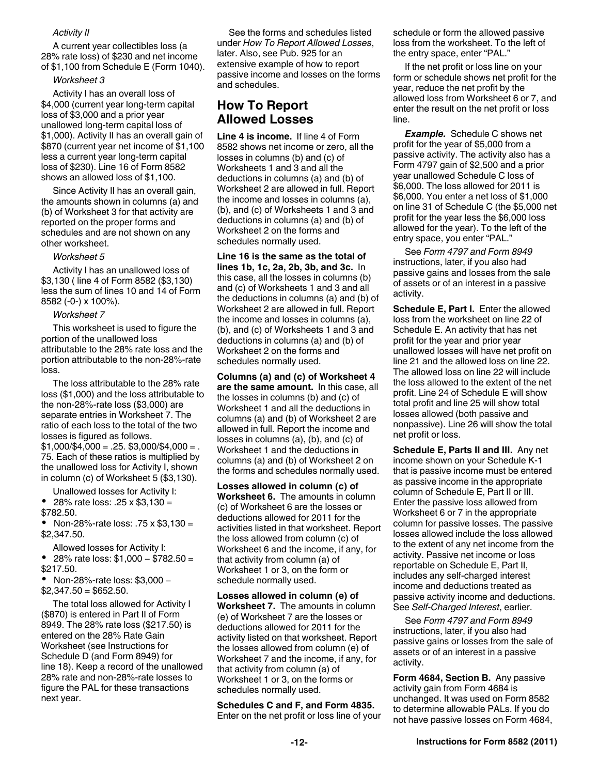### *Activity II*

A current year collectibles loss (a 28% rate loss) of \$230 and net income of \$1,100 from Schedule E (Form 1040).

#### *Worksheet 3*

Activity I has an overall loss of \$4,000 (current year long-term capital loss of \$3,000 and a prior year unallowed long-term capital loss of \$1,000). Activity II has an overall gain of \$870 (current year net income of \$1,100 less a current year long-term capital loss of \$230). Line 16 of Form 8582 shows an allowed loss of \$1,100.

Since Activity II has an overall gain, the amounts shown in columns (a) and (b) of Worksheet 3 for that activity are reported on the proper forms and schedules and are not shown on any other worksheet.

#### *Worksheet 5*

Activity I has an unallowed loss of \$3,130 ( line 4 of Form 8582 (\$3,130) less the sum of lines 10 and 14 of Form 8582 (-0-) x 100%).

#### *Worksheet 7*

This worksheet is used to figure the portion of the unallowed loss attributable to the 28% rate loss and the portion attributable to the non-28%-rate loss.

The loss attributable to the 28% rate loss (\$1,000) and the loss attributable to the non-28%-rate loss (\$3,000) are separate entries in Worksheet 7. The ratio of each loss to the total of the two losses is figured as follows.  $$1,000/\$4,000 = .25.$ \$3,000/\$4,000 = . 75. Each of these ratios is multiplied by the unallowed loss for Activity I, shown in column (c) of Worksheet 5 (\$3,130).

Unallowed losses for Activity I:

• 28% rate loss: .25  $\times$  \$3,130 = \$782.50.

 Non-28%-rate loss: .75 x \$3,130 = \$2,347.50.

Allowed losses for Activity I:

 $\bullet$  28% rate loss: \$1,000 − \$782.50 = \$217.50.

 Non-28%-rate loss: \$3,000 −  $$2,347.50 = $652.50.$ 

The total loss allowed for Activity I (\$870) is entered in Part II of Form 8949. The 28% rate loss (\$217.50) is entered on the 28% Rate Gain Worksheet (see Instructions for Schedule D (and Form 8949) for line 18). Keep a record of the unallowed 28% rate and non-28%-rate losses to figure the PAL for these transactions next year.

See the forms and schedules listed under *How To Report Allowed Losses*, later. Also, see Pub. 925 for an extensive example of how to report passive income and losses on the forms and schedules.

# **How To Report Allowed Losses**

**Line 4 is income.** If line 4 of Form 8582 shows net income or zero, all the losses in columns (b) and (c) of Worksheets 1 and 3 and all the deductions in columns (a) and (b) of Worksheet 2 are allowed in full. Report the income and losses in columns (a), (b), and (c) of Worksheets 1 and 3 and deductions in columns (a) and (b) of Worksheet 2 on the forms and schedules normally used.

Line 16 is the same as the total of **lines 1b, 1c, 2a, 2b, 3b, and 3c.** In this case, all the losses in columns (b) and (c) of Worksheets 1 and 3 and all the deductions in columns (a) and (b) of Worksheet 2 are allowed in full. Report the income and losses in columns (a), (b), and (c) of Worksheets 1 and 3 and deductions in columns (a) and (b) of Worksheet 2 on the forms and schedules normally used.

**Columns (a) and (c) of Worksheet 4 are the same amount.** In this case, all the losses in columns (b) and (c) of Worksheet 1 and all the deductions in columns (a) and (b) of Worksheet 2 are allowed in full. Report the income and losses in columns (a), (b), and (c) of Worksheet 1 and the deductions in columns (a) and (b) of Worksheet 2 on the forms and schedules normally used.

**Losses allowed in column (c) of Worksheet 6.** The amounts in column (c) of Worksheet 6 are the losses or deductions allowed for 2011 for the activities listed in that worksheet. Report the loss allowed from column (c) of Worksheet 6 and the income, if any, for that activity from column (a) of Worksheet 1 or 3, on the form or schedule normally used.

**Losses allowed in column (e) of Worksheet 7.** The amounts in column (e) of Worksheet 7 are the losses or deductions allowed for 2011 for the activity listed on that worksheet. Report the losses allowed from column (e) of Worksheet 7 and the income, if any, for that activity from column (a) of Worksheet 1 or 3, on the forms or schedules normally used.

**Schedules C and F, and Form 4835.**  Enter on the net profit or loss line of your schedule or form the allowed passive loss from the worksheet. To the left of the entry space, enter "PAL."

If the net profit or loss line on your form or schedule shows net profit for the year, reduce the net profit by the allowed loss from Worksheet 6 or 7, and enter the result on the net profit or loss line.

*Example.* Schedule C shows net profit for the year of \$5,000 from a passive activity. The activity also has a Form 4797 gain of \$2,500 and a prior year unallowed Schedule C loss of \$6,000. The loss allowed for 2011 is \$6,000. You enter a net loss of \$1,000 on line 31 of Schedule C (the \$5,000 net profit for the year less the \$6,000 loss allowed for the year). To the left of the entry space, you enter "PAL."

See *Form 4797 and Form 8949*  instructions, later, if you also had passive gains and losses from the sale of assets or of an interest in a passive activity.

**Schedule E, Part I.** Enter the allowed loss from the worksheet on line 22 of Schedule E. An activity that has net profit for the year and prior year unallowed losses will have net profit on line 21 and the allowed loss on line 22. The allowed loss on line 22 will include the loss allowed to the extent of the net profit. Line 24 of Schedule E will show total profit and line 25 will show total losses allowed (both passive and nonpassive). Line 26 will show the total net profit or loss.

**Schedule E, Parts II and III.** Any net income shown on your Schedule K-1 that is passive income must be entered as passive income in the appropriate column of Schedule E, Part II or III. Enter the passive loss allowed from Worksheet 6 or 7 in the appropriate column for passive losses. The passive losses allowed include the loss allowed to the extent of any net income from the activity. Passive net income or loss reportable on Schedule E, Part II, includes any self-charged interest income and deductions treated as passive activity income and deductions. See *Self-Charged Interest*, earlier.

See *Form 4797 and Form 8949*  instructions, later, if you also had passive gains or losses from the sale of assets or of an interest in a passive activity.

**Form 4684, Section B.** Any passive activity gain from Form 4684 is unchanged. It was used on Form 8582 to determine allowable PALs. If you do not have passive losses on Form 4684,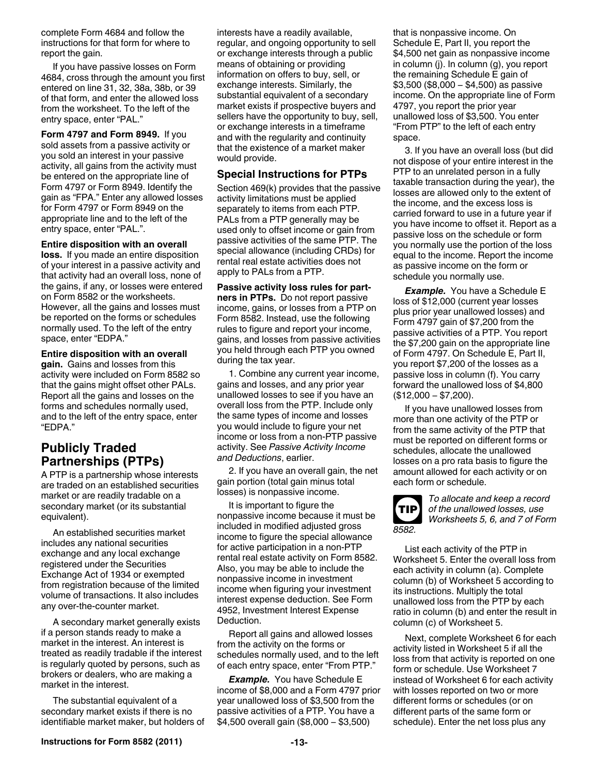complete Form 4684 and follow the instructions for that form for where to report the gain.

If you have passive losses on Form 4684, cross through the amount you first entered on line 31, 32, 38a, 38b, or 39 of that form, and enter the allowed loss from the worksheet. To the left of the entry space, enter "PAL."

**Form 4797 and Form 8949.** If you sold assets from a passive activity or you sold an interest in your passive activity, all gains from the activity must be entered on the appropriate line of Form 4797 or Form 8949. Identify the gain as "FPA." Enter any allowed losses for Form 4797 or Form 8949 on the appropriate line and to the left of the entry space, enter "PAL.".

#### **Entire disposition with an overall**

**loss.** If you made an entire disposition of your interest in a passive activity and that activity had an overall loss, none of the gains, if any, or losses were entered on Form 8582 or the worksheets. However, all the gains and losses must be reported on the forms or schedules normally used. To the left of the entry space, enter "EDPA."

### **Entire disposition with an overall**

**gain.** Gains and losses from this activity were included on Form 8582 so that the gains might offset other PALs. Report all the gains and losses on the forms and schedules normally used, and to the left of the entry space, enter "EDPA."

# **Publicly Traded Partnerships (PTPs)**

A PTP is a partnership whose interests are traded on an established securities market or are readily tradable on a secondary market (or its substantial equivalent).

An established securities market includes any national securities exchange and any local exchange registered under the Securities Exchange Act of 1934 or exempted from registration because of the limited volume of transactions. It also includes any over-the-counter market.

A secondary market generally exists if a person stands ready to make a market in the interest. An interest is treated as readily tradable if the interest is regularly quoted by persons, such as brokers or dealers, who are making a market in the interest.

The substantial equivalent of a secondary market exists if there is no identifiable market maker, but holders of interests have a readily available, regular, and ongoing opportunity to sell or exchange interests through a public means of obtaining or providing information on offers to buy, sell, or exchange interests. Similarly, the substantial equivalent of a secondary market exists if prospective buyers and sellers have the opportunity to buy, sell, or exchange interests in a timeframe and with the regularity and continuity that the existence of a market maker would provide.

### **Special Instructions for PTPs**

Section 469(k) provides that the passive activity limitations must be applied separately to items from each PTP. PALs from a PTP generally may be used only to offset income or gain from passive activities of the same PTP. The special allowance (including CRDs) for rental real estate activities does not apply to PALs from a PTP.

### **Passive activity loss rules for part-**

**ners in PTPs.** Do not report passive income, gains, or losses from a PTP on Form 8582. Instead, use the following rules to figure and report your income, gains, and losses from passive activities you held through each PTP you owned during the tax year.

1. Combine any current year income, gains and losses, and any prior year unallowed losses to see if you have an overall loss from the PTP. Include only the same types of income and losses you would include to figure your net income or loss from a non-PTP passive activity. See *Passive Activity Income and Deductions*, earlier.

2. If you have an overall gain, the net gain portion (total gain minus total losses) is nonpassive income.

It is important to figure the nonpassive income because it must be included in modified adjusted gross income to figure the special allowance for active participation in a non-PTP rental real estate activity on Form 8582. Also, you may be able to include the nonpassive income in investment income when figuring your investment interest expense deduction. See Form 4952, Investment Interest Expense Deduction.

Report all gains and allowed losses from the activity on the forms or schedules normally used, and to the left of each entry space, enter "From PTP."

*Example.* You have Schedule E income of \$8,000 and a Form 4797 prior year unallowed loss of \$3,500 from the passive activities of a PTP. You have a \$4,500 overall gain (\$8,000 − \$3,500)

that is nonpassive income. On Schedule E, Part II, you report the \$4,500 net gain as nonpassive income in column (j). In column (g), you report the remaining Schedule E gain of \$3,500 (\$8,000 − \$4,500) as passive income. On the appropriate line of Form 4797, you report the prior year unallowed loss of \$3,500. You enter "From PTP" to the left of each entry space.

3. If you have an overall loss (but did not dispose of your entire interest in the PTP to an unrelated person in a fully taxable transaction during the year), the losses are allowed only to the extent of the income, and the excess loss is carried forward to use in a future year if you have income to offset it. Report as a passive loss on the schedule or form you normally use the portion of the loss equal to the income. Report the income as passive income on the form or schedule you normally use.

*Example.* You have a Schedule E loss of \$12,000 (current year losses plus prior year unallowed losses) and Form 4797 gain of \$7,200 from the passive activities of a PTP. You report the \$7,200 gain on the appropriate line of Form 4797. On Schedule E, Part II, you report \$7,200 of the losses as a passive loss in column (f). You carry forward the unallowed loss of \$4,800 (\$12,000 − \$7,200).

If you have unallowed losses from more than one activity of the PTP or from the same activity of the PTP that must be reported on different forms or schedules, allocate the unallowed losses on a pro rata basis to figure the amount allowed for each activity or on each form or schedule.



*To allocate and keep a record of the unallowed losses, use Worksheets 5, 6, and 7 of Form* 

List each activity of the PTP in Worksheet 5. Enter the overall loss from each activity in column (a). Complete column (b) of Worksheet 5 according to its instructions. Multiply the total unallowed loss from the PTP by each ratio in column (b) and enter the result in column (c) of Worksheet 5.

Next, complete Worksheet 6 for each activity listed in Worksheet 5 if all the loss from that activity is reported on one form or schedule. Use Worksheet 7 instead of Worksheet 6 for each activity with losses reported on two or more different forms or schedules (or on different parts of the same form or schedule). Enter the net loss plus any